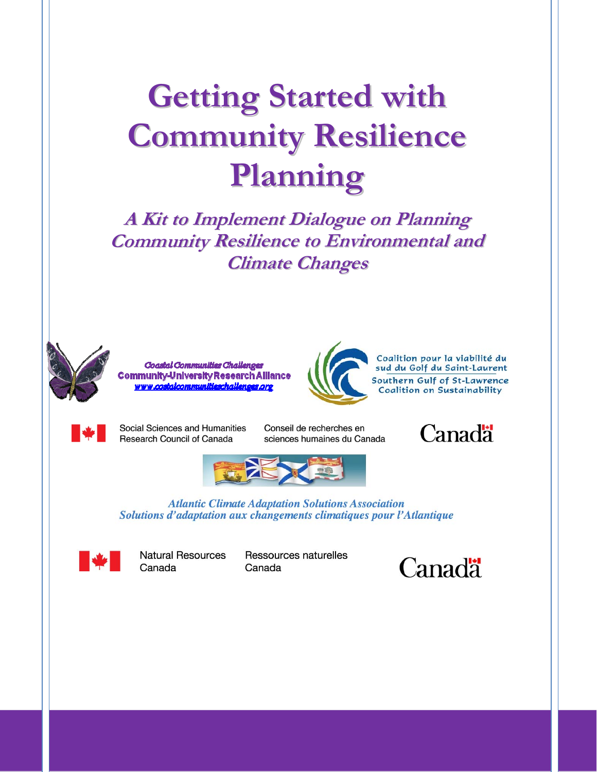# **Getting Started with Community Resilience Planning**

**A Kit to Implement Dialogue on Planning Community Resilience to Environmental and Climate Changes**



Coastal Communities Challenges Community-University Research Alliance costalcommunitieschallenges.org



Coalition pour la viabilité du<br>sud du Golf du Saint-Laurent Southern Gulf of St-Lawrence **Coalition on Sustainability** 



Social Sciences and Humanities **Research Council of Canada** 

Conseil de recherches en sciences humaines du Canada





**Atlantic Climate Adaptation Solutions Association** Solutions d'adaptation aux changements climatiques pour l'Atlantique



**Natural Resources** Canada

Ressources naturelles Canada

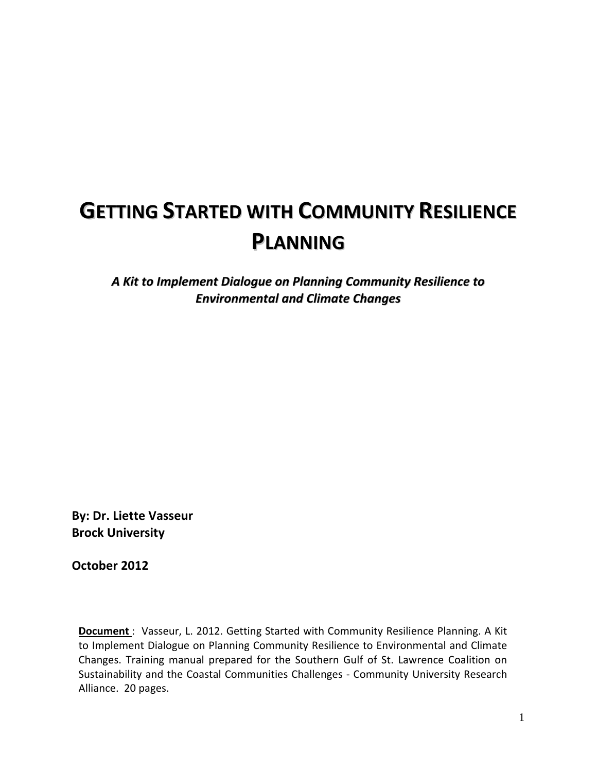## **GETTING STARTED WITH COMMUNITY RESILIENCE PLANNING**

*A Kit to Implement Dialogue on Planning Community Resilience to Environmental and Climate Changes*

**By: Dr. Liette Vasseur Brock University**

**October 2012**

**Document**: Vasseur, L. 2012. Getting Started with Community Resilience Planning. A Kit to Implement Dialogue on Planning Community Resilience to Environmental and Climate Changes. Training manual prepared for the Southern Gulf of St. Lawrence Coalition on Sustainability and the Coastal Communities Challenges ‐ Community University Research Alliance. 20 pages.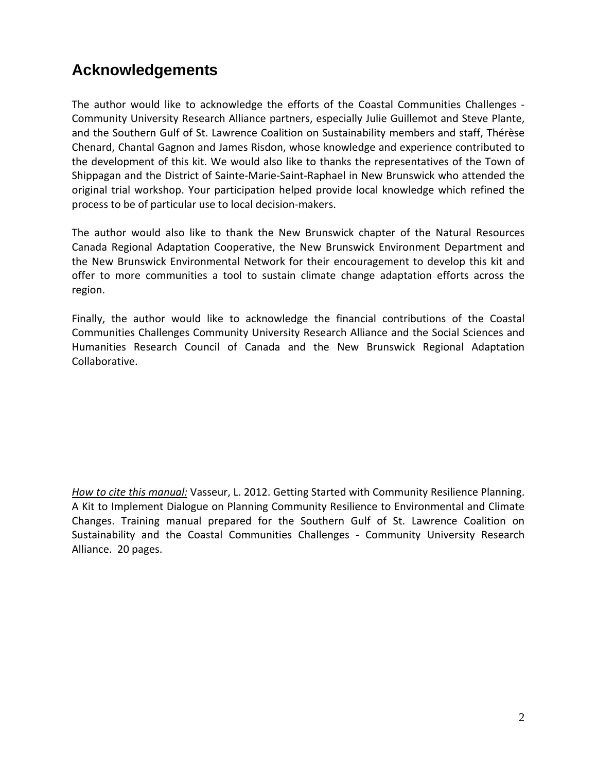### <span id="page-2-0"></span>**Acknowledgements**

The author would like to acknowledge the efforts of the Coastal Communities Challenges ‐ Community University Research Alliance partners, especially Julie Guillemot and Steve Plante, and the Southern Gulf of St. Lawrence Coalition on Sustainability members and staff, Thérèse Chenard, Chantal Gagnon and James Risdon, whose knowledge and experience contributed to the development of this kit. We would also like to thanks the representatives of the Town of Shippagan and the District of Sainte‐Marie‐Saint‐Raphael in New Brunswick who attended the original trial workshop. Your participation helped provide local knowledge which refined the process to be of particular use to local decision‐makers.

The author would also like to thank the New Brunswick chapter of the Natural Resources Canada Regional Adaptation Cooperative, the New Brunswick Environment Department and the New Brunswick Environmental Network for their encouragement to develop this kit and offer to more communities a tool to sustain climate change adaptation efforts across the region.

Finally, the author would like to acknowledge the financial contributions of the Coastal Communities Challenges Community University Research Alliance and the Social Sciences and Humanities Research Council of Canada and the New Brunswick Regional Adaptation Collaborative.

*How to cite this manual:* Vasseur, L. 2012. Getting Started with Community Resilience Planning. A Kit to Implement Dialogue on Planning Community Resilience to Environmental and Climate Changes. Training manual prepared for the Southern Gulf of St. Lawrence Coalition on Sustainability and the Coastal Communities Challenges ‐ Community University Research Alliance. 20 pages.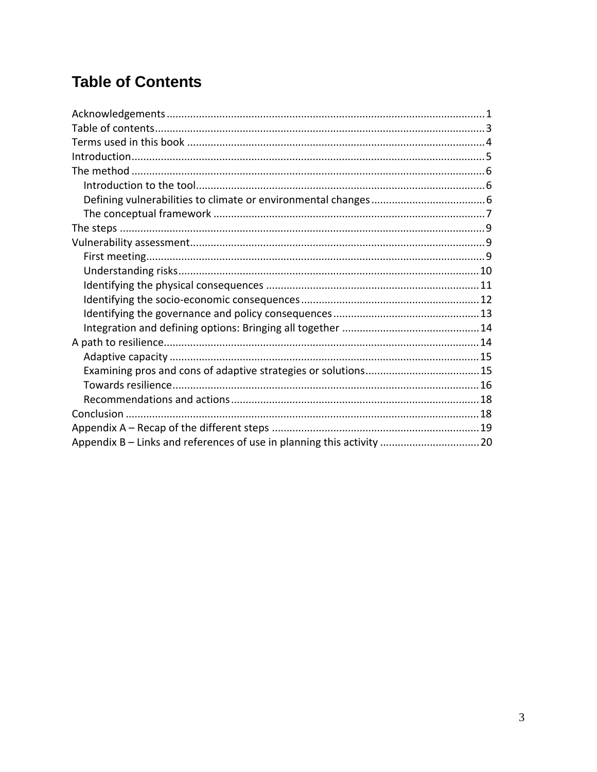### <span id="page-3-0"></span>**Table of Contents**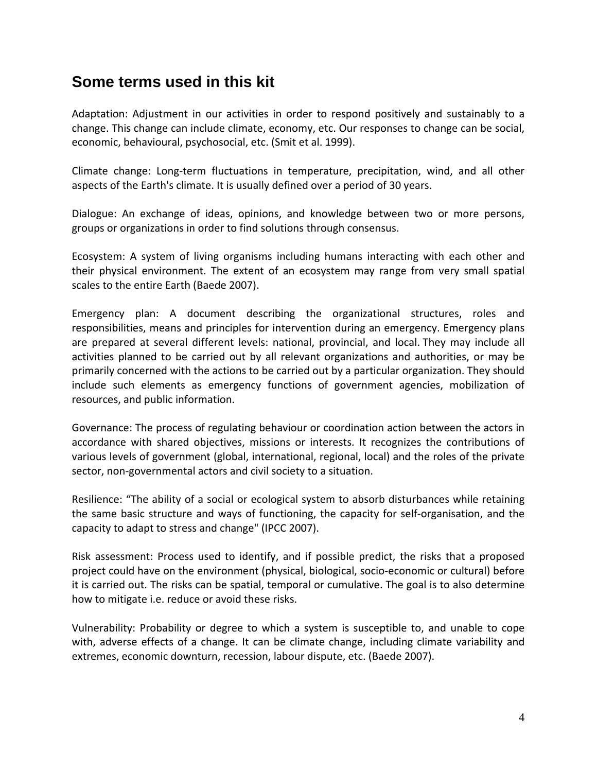### <span id="page-4-0"></span>**Some terms used in this kit**

Adaptation: Adjustment in our activities in order to respond positively and sustainably to a change. This change can include climate, economy, etc. Our responses to change can be social, economic, behavioural, psychosocial, etc. (Smit et al. 1999).

Climate change: Long‐term fluctuations in temperature, precipitation, wind, and all other aspects of the Earth's climate. It is usually defined over a period of 30 years.

Dialogue: An exchange of ideas, opinions, and knowledge between two or more persons, groups or organizations in order to find solutions through consensus.

Ecosystem: A system of living organisms including humans interacting with each other and their physical environment. The extent of an ecosystem may range from very small spatial scales to the entire Earth (Baede 2007).

Emergency plan: A document describing the organizational structures, roles and responsibilities, means and principles for intervention during an emergency. Emergency plans are prepared at several different levels: national, provincial, and local. They may include all activities planned to be carried out by all relevant organizations and authorities, or may be primarily concerned with the actions to be carried out by a particular organization. They should include such elements as emergency functions of government agencies, mobilization of resources, and public information.

Governance: The process of regulating behaviour or coordination action between the actors in accordance with shared objectives, missions or interests. It recognizes the contributions of various levels of government (global, international, regional, local) and the roles of the private sector, non-governmental actors and civil society to a situation.

Resilience: "The ability of a social or ecological system to absorb disturbances while retaining the same basic structure and ways of functioning, the capacity for self‐organisation, and the capacity to adapt to stress and change" (IPCC 2007).

Risk assessment: Process used to identify, and if possible predict, the risks that a proposed project could have on the environment (physical, biological, socio‐economic or cultural) before it is carried out. The risks can be spatial, temporal or cumulative. The goal is to also determine how to mitigate i.e. reduce or avoid these risks.

Vulnerability: Probability or degree to which a system is susceptible to, and unable to cope with, adverse effects of a change. It can be climate change, including climate variability and extremes, economic downturn, recession, labour dispute, etc. (Baede 2007).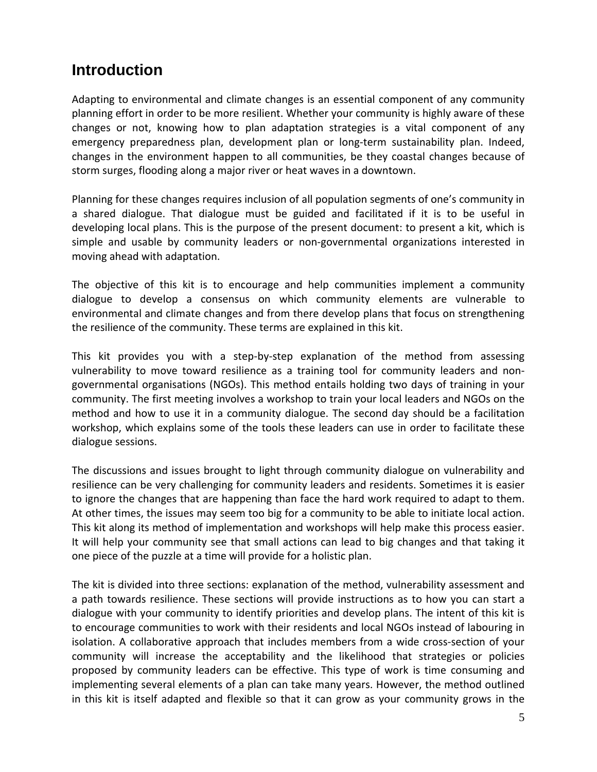### <span id="page-5-0"></span>**Introduction**

Adapting to environmental and climate changes is an essential component of any community planning effort in order to be more resilient. Whether your community is highly aware of these changes or not, knowing how to plan adaptation strategies is a vital component of any emergency preparedness plan, development plan or long-term sustainability plan. Indeed, changes in the environment happen to all communities, be they coastal changes because of storm surges, flooding along a major river or heat waves in a downtown.

Planning for these changes requires inclusion of all population segments of one's community in a shared dialogue. That dialogue must be guided and facilitated if it is to be useful in developing local plans. This is the purpose of the present document: to present a kit, which is simple and usable by community leaders or non‐governmental organizations interested in moving ahead with adaptation.

The objective of this kit is to encourage and help communities implement a community dialogue to develop a consensus on which community elements are vulnerable to environmental and climate changes and from there develop plans that focus on strengthening the resilience of the community. These terms are explained in this kit.

This kit provides you with a step-by-step explanation of the method from assessing vulnerability to move toward resilience as a training tool for community leaders and non‐ governmental organisations (NGOs). This method entails holding two days of training in your community. The first meeting involves a workshop to train your local leaders and NGOs on the method and how to use it in a community dialogue. The second day should be a facilitation workshop, which explains some of the tools these leaders can use in order to facilitate these dialogue sessions.

The discussions and issues brought to light through community dialogue on vulnerability and resilience can be very challenging for community leaders and residents. Sometimes it is easier to ignore the changes that are happening than face the hard work required to adapt to them. At other times, the issues may seem too big for a community to be able to initiate local action. This kit along its method of implementation and workshops will help make this process easier. It will help your community see that small actions can lead to big changes and that taking it one piece of the puzzle at a time will provide for a holistic plan.

The kit is divided into three sections: explanation of the method, vulnerability assessment and a path towards resilience. These sections will provide instructions as to how you can start a dialogue with your community to identify priorities and develop plans. The intent of this kit is to encourage communities to work with their residents and local NGOs instead of labouring in isolation. A collaborative approach that includes members from a wide cross-section of your community will increase the acceptability and the likelihood that strategies or policies proposed by community leaders can be effective. This type of work is time consuming and implementing several elements of a plan can take many years. However, the method outlined in this kit is itself adapted and flexible so that it can grow as your community grows in the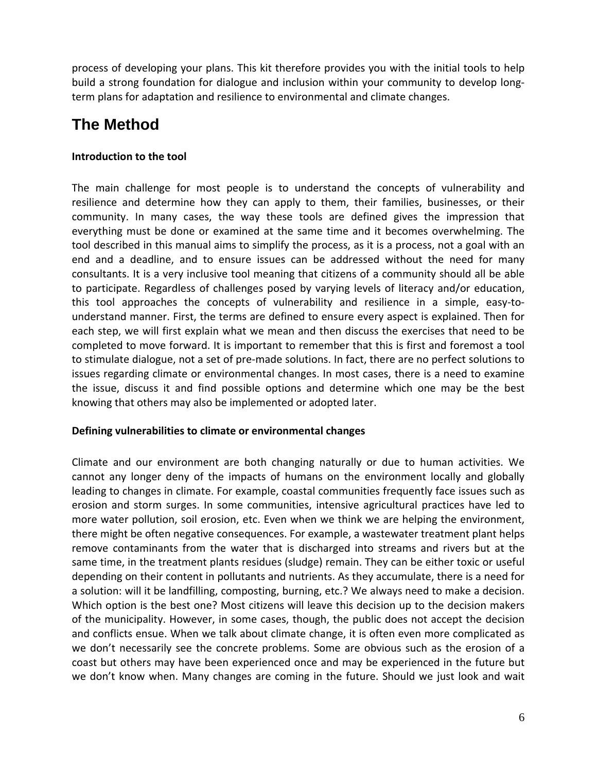<span id="page-6-0"></span>process of developing your plans. This kit therefore provides you with the initial tools to help build a strong foundation for dialogue and inclusion within your community to develop long‐ term plans for adaptation and resilience to environmental and climate changes.

### **The Method**

#### **Introduction to the tool**

The main challenge for most people is to understand the concepts of vulnerability and resilience and determine how they can apply to them, their families, businesses, or their community. In many cases, the way these tools are defined gives the impression that everything must be done or examined at the same time and it becomes overwhelming. The tool described in this manual aims to simplify the process, as it is a process, not a goal with an end and a deadline, and to ensure issues can be addressed without the need for many consultants. It is a very inclusive tool meaning that citizens of a community should all be able to participate. Regardless of challenges posed by varying levels of literacy and/or education, this tool approaches the concepts of vulnerability and resilience in a simple, easy-tounderstand manner. First, the terms are defined to ensure every aspect is explained. Then for each step, we will first explain what we mean and then discuss the exercises that need to be completed to move forward. It is important to remember that this is first and foremost a tool to stimulate dialogue, not a set of pre‐made solutions. In fact, there are no perfect solutions to issues regarding climate or environmental changes. In most cases, there is a need to examine the issue, discuss it and find possible options and determine which one may be the best knowing that others may also be implemented or adopted later.

#### **Defining vulnerabilities to climate or environmental changes**

Climate and our environment are both changing naturally or due to human activities. We cannot any longer deny of the impacts of humans on the environment locally and globally leading to changes in climate. For example, coastal communities frequently face issues such as erosion and storm surges. In some communities, intensive agricultural practices have led to more water pollution, soil erosion, etc. Even when we think we are helping the environment, there might be often negative consequences. For example, a wastewater treatment plant helps remove contaminants from the water that is discharged into streams and rivers but at the same time, in the treatment plants residues (sludge) remain. They can be either toxic or useful depending on their content in pollutants and nutrients. As they accumulate, there is a need for a solution: will it be landfilling, composting, burning, etc.? We always need to make a decision. Which option is the best one? Most citizens will leave this decision up to the decision makers of the municipality. However, in some cases, though, the public does not accept the decision and conflicts ensue. When we talk about climate change, it is often even more complicated as we don't necessarily see the concrete problems. Some are obvious such as the erosion of a coast but others may have been experienced once and may be experienced in the future but we don't know when. Many changes are coming in the future. Should we just look and wait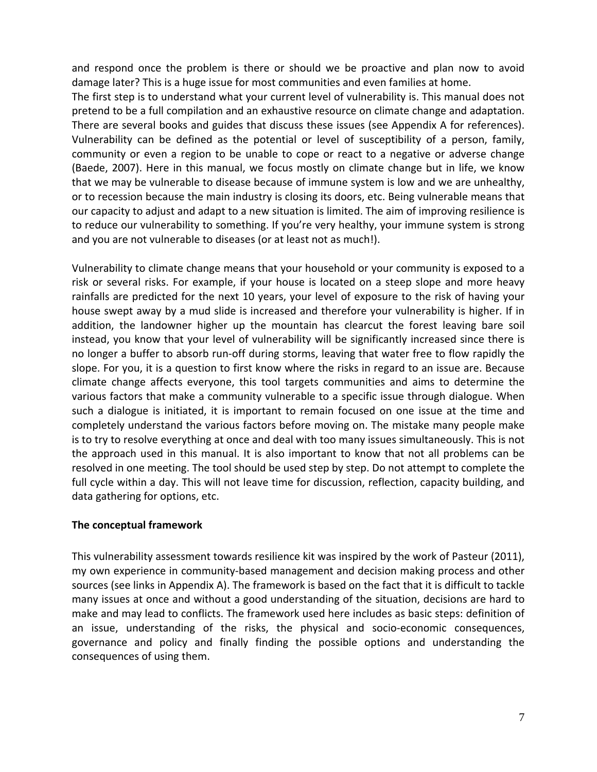<span id="page-7-0"></span>and respond once the problem is there or should we be proactive and plan now to avoid damage later? This is a huge issue for most communities and even families at home.

The first step is to understand what your current level of vulnerability is. This manual does not pretend to be a full compilation and an exhaustive resource on climate change and adaptation. There are several books and guides that discuss these issues (see Appendix A for references). Vulnerability can be defined as the potential or level of susceptibility of a person, family, community or even a region to be unable to cope or react to a negative or adverse change (Baede, 2007). Here in this manual, we focus mostly on climate change but in life, we know that we may be vulnerable to disease because of immune system is low and we are unhealthy, or to recession because the main industry is closing its doors, etc. Being vulnerable means that our capacity to adjust and adapt to a new situation is limited. The aim of improving resilience is to reduce our vulnerability to something. If you're very healthy, your immune system is strong and you are not vulnerable to diseases (or at least not as much!).

Vulnerability to climate change means that your household or your community is exposed to a risk or several risks. For example, if your house is located on a steep slope and more heavy rainfalls are predicted for the next 10 years, your level of exposure to the risk of having your house swept away by a mud slide is increased and therefore your vulnerability is higher. If in addition, the landowner higher up the mountain has clearcut the forest leaving bare soil instead, you know that your level of vulnerability will be significantly increased since there is no longer a buffer to absorb run‐off during storms, leaving that water free to flow rapidly the slope. For you, it is a question to first know where the risks in regard to an issue are. Because climate change affects everyone, this tool targets communities and aims to determine the various factors that make a community vulnerable to a specific issue through dialogue. When such a dialogue is initiated, it is important to remain focused on one issue at the time and completely understand the various factors before moving on. The mistake many people make is to try to resolve everything at once and deal with too many issues simultaneously. This is not the approach used in this manual. It is also important to know that not all problems can be resolved in one meeting. The tool should be used step by step. Do not attempt to complete the full cycle within a day. This will not leave time for discussion, reflection, capacity building, and data gathering for options, etc.

#### **The conceptual framework**

This vulnerability assessment towards resilience kit was inspired by the work of Pasteur (2011), my own experience in community‐based management and decision making process and other sources (see links in Appendix A). The framework is based on the fact that it is difficult to tackle many issues at once and without a good understanding of the situation, decisions are hard to make and may lead to conflicts. The framework used here includes as basic steps: definition of an issue, understanding of the risks, the physical and socio‐economic consequences, governance and policy and finally finding the possible options and understanding the consequences of using them.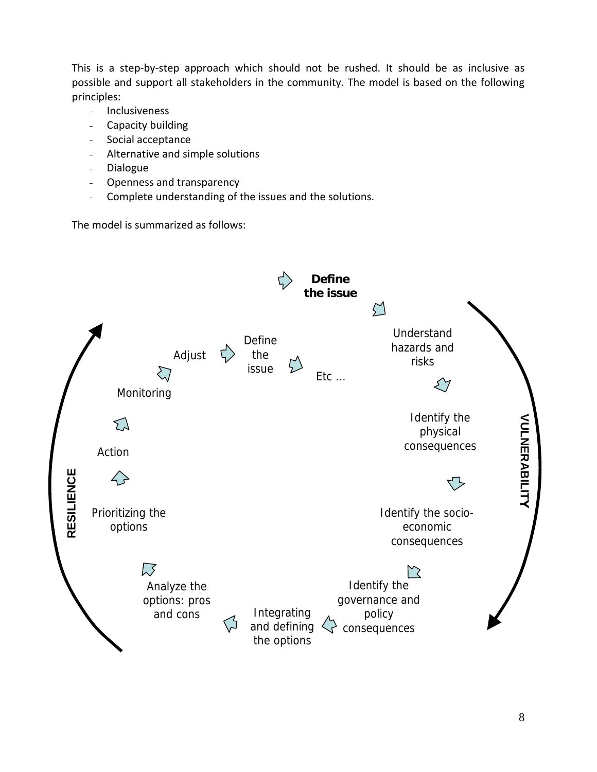This is a step-by-step approach which should not be rushed. It should be as inclusive as possible and support all stakeholders in the community. The model is based on the following principles:

- Inclusiveness
- Capacity building
- Social acceptance
- Alternative and simple solutions
- Dialogue
- Openness and transparency
- Complete understanding of the issues and the solutions.

The model is summarized as follows:

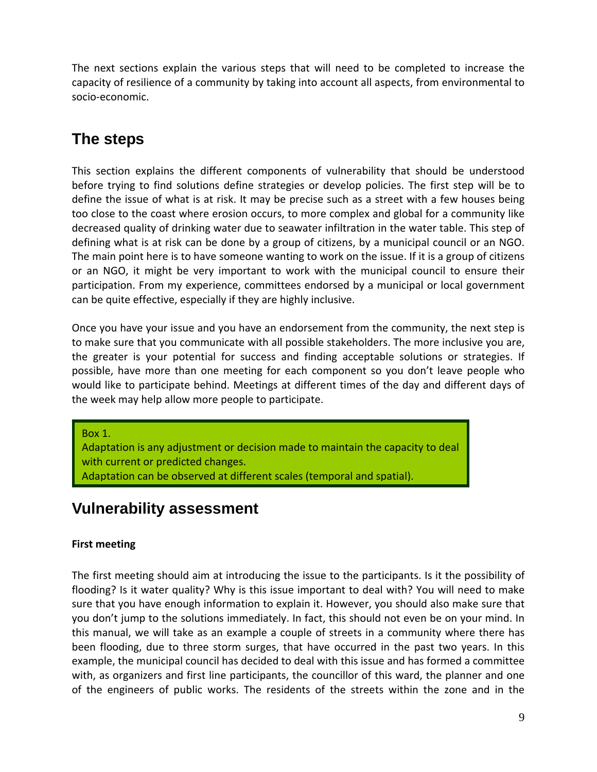<span id="page-9-0"></span>The next sections explain the various steps that will need to be completed to increase the capacity of resilience of a community by taking into account all aspects, from environmental to socio‐economic.

### **The steps**

This section explains the different components of vulnerability that should be understood before trying to find solutions define strategies or develop policies. The first step will be to define the issue of what is at risk. It may be precise such as a street with a few houses being too close to the coast where erosion occurs, to more complex and global for a community like decreased quality of drinking water due to seawater infiltration in the water table. This step of defining what is at risk can be done by a group of citizens, by a municipal council or an NGO. The main point here is to have someone wanting to work on the issue. If it is a group of citizens or an NGO, it might be very important to work with the municipal council to ensure their participation. From my experience, committees endorsed by a municipal or local government can be quite effective, especially if they are highly inclusive.

Once you have your issue and you have an endorsement from the community, the next step is to make sure that you communicate with all possible stakeholders. The more inclusive you are, the greater is your potential for success and finding acceptable solutions or strategies. If possible, have more than one meeting for each component so you don't leave people who would like to participate behind. Meetings at different times of the day and different days of the week may help allow more people to participate.

Box 1.

Adaptation can be observed at different scales (temporal and spatial). Adaptation is any adjustment or decision made to maintain the capacity to deal with current or predicted changes.

### **Vulnerability assessment**

#### **First meeting**

The first meeting should aim at introducing the issue to the participants. Is it the possibility of flooding? Is it water quality? Why is this issue important to deal with? You will need to make sure that you have enough information to explain it. However, you should also make sure that you don't jump to the solutions immediately. In fact, this should not even be on your mind. In this manual, we will take as an example a couple of streets in a community where there has been flooding, due to three storm surges, that have occurred in the past two years. In this example, the municipal council has decided to deal with this issue and has formed a committee with, as organizers and first line participants, the councillor of this ward, the planner and one of the engineers of public works. The residents of the streets within the zone and in the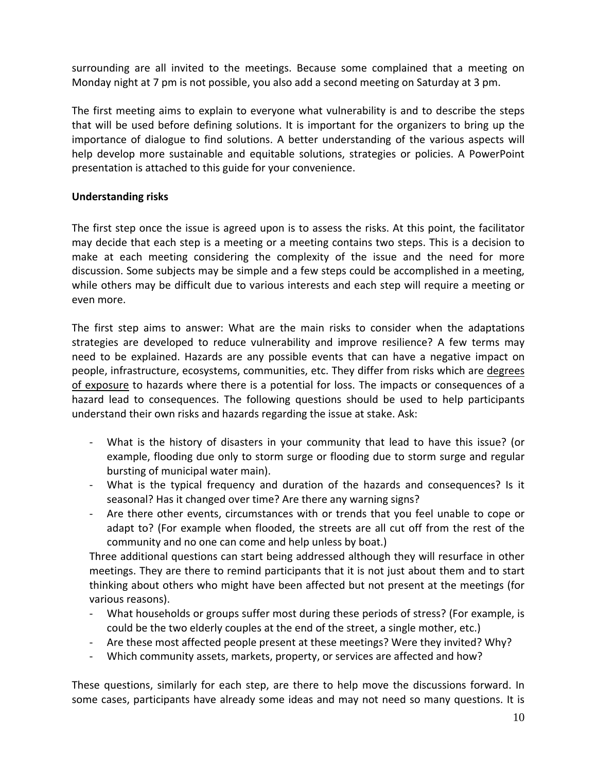<span id="page-10-0"></span>surrounding are all invited to the meetings. Because some complained that a meeting on Monday night at 7 pm is not possible, you also add a second meeting on Saturday at 3 pm.

The first meeting aims to explain to everyone what vulnerability is and to describe the steps that will be used before defining solutions. It is important for the organizers to bring up the importance of dialogue to find solutions. A better understanding of the various aspects will help develop more sustainable and equitable solutions, strategies or policies. A PowerPoint presentation is attached to this guide for your convenience.

#### **Understanding risks**

The first step once the issue is agreed upon is to assess the risks. At this point, the facilitator may decide that each step is a meeting or a meeting contains two steps. This is a decision to make at each meeting considering the complexity of the issue and the need for more discussion. Some subjects may be simple and a few steps could be accomplished in a meeting, while others may be difficult due to various interests and each step will require a meeting or even more.

The first step aims to answer: What are the main risks to consider when the adaptations strategies are developed to reduce vulnerability and improve resilience? A few terms may need to be explained. Hazards are any possible events that can have a negative impact on people, infrastructure, ecosystems, communities, etc. They differ from risks which are degrees of exposure to hazards where there is a potential for loss. The impacts or consequences of a hazard lead to consequences. The following questions should be used to help participants understand their own risks and hazards regarding the issue at stake. Ask:

- ‐ What is the history of disasters in your community that lead to have this issue? (or example, flooding due only to storm surge or flooding due to storm surge and regular bursting of municipal water main).
- ‐ What is the typical frequency and duration of the hazards and consequences? Is it seasonal? Has it changed over time? Are there any warning signs?
- ‐ Are there other events, circumstances with or trends that you feel unable to cope or adapt to? (For example when flooded, the streets are all cut off from the rest of the community and no one can come and help unless by boat.)

Three additional questions can start being addressed although they will resurface in other meetings. They are there to remind participants that it is not just about them and to start thinking about others who might have been affected but not present at the meetings (for various reasons).

- ‐ What households or groups suffer most during these periods of stress? (For example, is could be the two elderly couples at the end of the street, a single mother, etc.)
- ‐ Are these most affected people present at these meetings? Were they invited? Why?
- ‐ Which community assets, markets, property, or services are affected and how?

These questions, similarly for each step, are there to help move the discussions forward. In some cases, participants have already some ideas and may not need so many questions. It is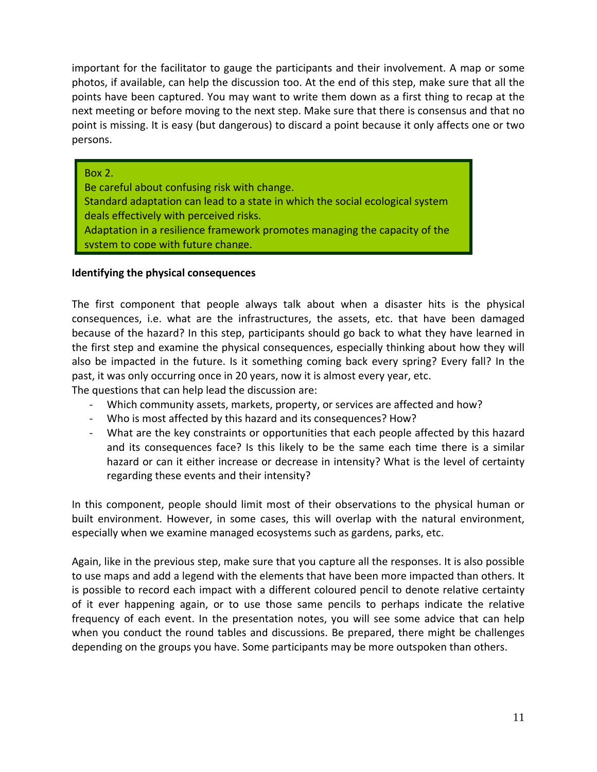<span id="page-11-0"></span>important for the facilitator to gauge the participants and their involvement. A map or some photos, if available, can help the discussion too. At the end of this step, make sure that all the points have been captured. You may want to write them down as a first thing to recap at the next meeting or before moving to the next step. Make sure that there is consensus and that no point is missing. It is easy (but dangerous) to discard a point because it only affects one or two persons.

#### Box 2.

Adaptation in a resilience framework promotes managing the capacity of the system to cope with future change. Standard adaptation can lead to a state in which the social ecological system deals effectively with perceived risks. Be careful about confusing risk with change.

#### **Identifying the physical consequences**

The first component that people always talk about when a disaster hits is the physical consequences, i.e. what are the infrastructures, the assets, etc. that have been damaged because of the hazard? In this step, participants should go back to what they have learned in the first step and examine the physical consequences, especially thinking about how they will also be impacted in the future. Is it something coming back every spring? Every fall? In the past, it was only occurring once in 20 years, now it is almost every year, etc.

The questions that can help lead the discussion are:

- ‐ Which community assets, markets, property, or services are affected and how?
- ‐ Who is most affected by this hazard and its consequences? How?
- ‐ What are the key constraints or opportunities that each people affected by this hazard and its consequences face? Is this likely to be the same each time there is a similar hazard or can it either increase or decrease in intensity? What is the level of certainty regarding these events and their intensity?

In this component, people should limit most of their observations to the physical human or built environment. However, in some cases, this will overlap with the natural environment, especially when we examine managed ecosystems such as gardens, parks, etc.

Again, like in the previous step, make sure that you capture all the responses. It is also possible to use maps and add a legend with the elements that have been more impacted than others. It is possible to record each impact with a different coloured pencil to denote relative certainty of it ever happening again, or to use those same pencils to perhaps indicate the relative frequency of each event. In the presentation notes, you will see some advice that can help when you conduct the round tables and discussions. Be prepared, there might be challenges depending on the groups you have. Some participants may be more outspoken than others.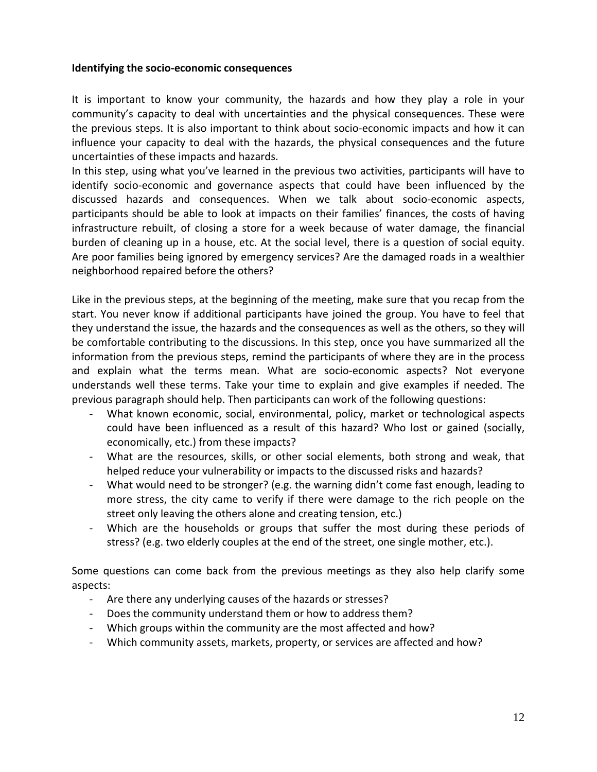#### <span id="page-12-0"></span>**Identifying the socio‐economic consequences**

It is important to know your community, the hazards and how they play a role in your community's capacity to deal with uncertainties and the physical consequences. These were the previous steps. It is also important to think about socio‐economic impacts and how it can influence your capacity to deal with the hazards, the physical consequences and the future uncertainties of these impacts and hazards.

In this step, using what you've learned in the previous two activities, participants will have to identify socio‐economic and governance aspects that could have been influenced by the discussed hazards and consequences. When we talk about socio‐economic aspects, participants should be able to look at impacts on their families' finances, the costs of having infrastructure rebuilt, of closing a store for a week because of water damage, the financial burden of cleaning up in a house, etc. At the social level, there is a question of social equity. Are poor families being ignored by emergency services? Are the damaged roads in a wealthier neighborhood repaired before the others?

Like in the previous steps, at the beginning of the meeting, make sure that you recap from the start. You never know if additional participants have joined the group. You have to feel that they understand the issue, the hazards and the consequences as well as the others, so they will be comfortable contributing to the discussions. In this step, once you have summarized all the information from the previous steps, remind the participants of where they are in the process and explain what the terms mean. What are socio‐economic aspects? Not everyone understands well these terms. Take your time to explain and give examples if needed. The previous paragraph should help. Then participants can work of the following questions:

- ‐ What known economic, social, environmental, policy, market or technological aspects could have been influenced as a result of this hazard? Who lost or gained (socially, economically, etc.) from these impacts?
- ‐ What are the resources, skills, or other social elements, both strong and weak, that helped reduce your vulnerability or impacts to the discussed risks and hazards?
- ‐ What would need to be stronger? (e.g. the warning didn't come fast enough, leading to more stress, the city came to verify if there were damage to the rich people on the street only leaving the others alone and creating tension, etc.)
- ‐ Which are the households or groups that suffer the most during these periods of stress? (e.g. two elderly couples at the end of the street, one single mother, etc.).

Some questions can come back from the previous meetings as they also help clarify some aspects:

- ‐ Are there any underlying causes of the hazards or stresses?
- ‐ Does the community understand them or how to address them?
- ‐ Which groups within the community are the most affected and how?
- ‐ Which community assets, markets, property, or services are affected and how?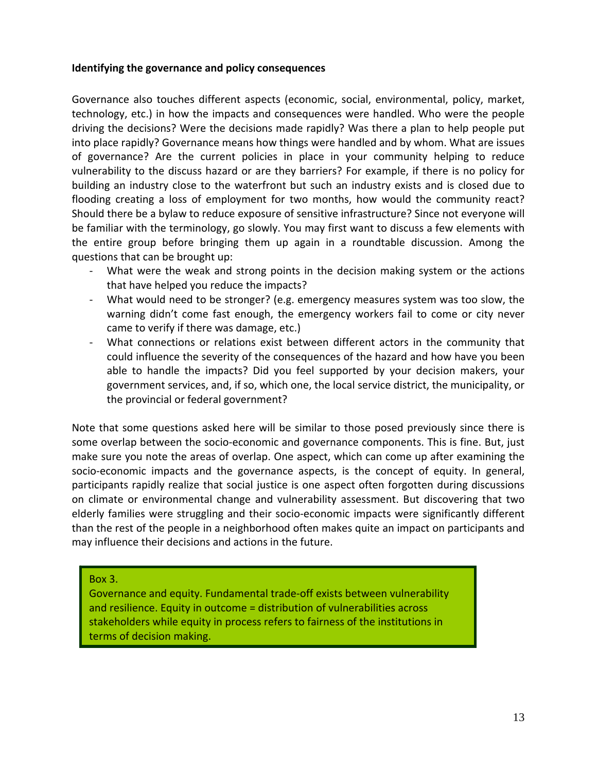#### <span id="page-13-0"></span>**Identifying the governance and policy consequences**

Governance also touches different aspects (economic, social, environmental, policy, market, technology, etc.) in how the impacts and consequences were handled. Who were the people driving the decisions? Were the decisions made rapidly? Was there a plan to help people put into place rapidly? Governance means how things were handled and by whom. What are issues of governance? Are the current policies in place in your community helping to reduce vulnerability to the discuss hazard or are they barriers? For example, if there is no policy for building an industry close to the waterfront but such an industry exists and is closed due to flooding creating a loss of employment for two months, how would the community react? Should there be a bylaw to reduce exposure of sensitive infrastructure? Since not everyone will be familiar with the terminology, go slowly. You may first want to discuss a few elements with the entire group before bringing them up again in a roundtable discussion. Among the questions that can be brought up:

- ‐ What were the weak and strong points in the decision making system or the actions that have helped you reduce the impacts?
- ‐ What would need to be stronger? (e.g. emergency measures system was too slow, the warning didn't come fast enough, the emergency workers fail to come or city never came to verify if there was damage, etc.)
- What connections or relations exist between different actors in the community that could influence the severity of the consequences of the hazard and how have you been able to handle the impacts? Did you feel supported by your decision makers, your government services, and, if so, which one, the local service district, the municipality, or the provincial or federal government?

Note that some questions asked here will be similar to those posed previously since there is some overlap between the socio-economic and governance components. This is fine. But, just make sure you note the areas of overlap. One aspect, which can come up after examining the socio-economic impacts and the governance aspects, is the concept of equity. In general, participants rapidly realize that social justice is one aspect often forgotten during discussions on climate or environmental change and vulnerability assessment. But discovering that two elderly families were struggling and their socio‐economic impacts were significantly different than the rest of the people in a neighborhood often makes quite an impact on participants and may influence their decisions and actions in the future.

Box 3.

Governance and equity. Fundamental trade‐off exists between vulnerability and resilience. Equity in outcome = distribution of vulnerabilities across stakeholders while equity in process refers to fairness of the institutions in terms of decision making.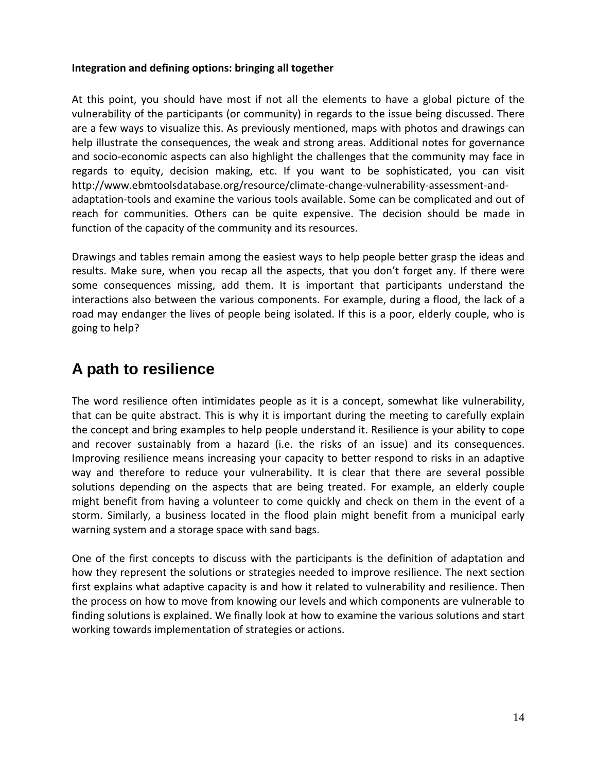#### <span id="page-14-0"></span>**Integration and defining options: bringing all together**

At this point, you should have most if not all the elements to have a global picture of the vulnerability of the participants (or community) in regards to the issue being discussed. There are a few ways to visualize this. As previously mentioned, maps with photos and drawings can help illustrate the consequences, the weak and strong areas. Additional notes for governance and socio‐economic aspects can also highlight the challenges that the community may face in regards to equity, decision making, etc. If you want to be sophisticated, you can visit http://www.ebmtoolsdatabase.org/resource/climate‐change‐vulnerability‐assessment‐and‐ adaptation‐tools and examine the various tools available. Some can be complicated and out of reach for communities. Others can be quite expensive. The decision should be made in function of the capacity of the community and its resources.

Drawings and tables remain among the easiest ways to help people better grasp the ideas and results. Make sure, when you recap all the aspects, that you don't forget any. If there were some consequences missing, add them. It is important that participants understand the interactions also between the various components. For example, during a flood, the lack of a road may endanger the lives of people being isolated. If this is a poor, elderly couple, who is going to help?

### **A path to resilience**

The word resilience often intimidates people as it is a concept, somewhat like vulnerability, that can be quite abstract. This is why it is important during the meeting to carefully explain the concept and bring examples to help people understand it. Resilience is your ability to cope and recover sustainably from a hazard (i.e. the risks of an issue) and its consequences. Improving resilience means increasing your capacity to better respond to risks in an adaptive way and therefore to reduce your vulnerability. It is clear that there are several possible solutions depending on the aspects that are being treated. For example, an elderly couple might benefit from having a volunteer to come quickly and check on them in the event of a storm. Similarly, a business located in the flood plain might benefit from a municipal early warning system and a storage space with sand bags.

One of the first concepts to discuss with the participants is the definition of adaptation and how they represent the solutions or strategies needed to improve resilience. The next section first explains what adaptive capacity is and how it related to vulnerability and resilience. Then the process on how to move from knowing our levels and which components are vulnerable to finding solutions is explained. We finally look at how to examine the various solutions and start working towards implementation of strategies or actions.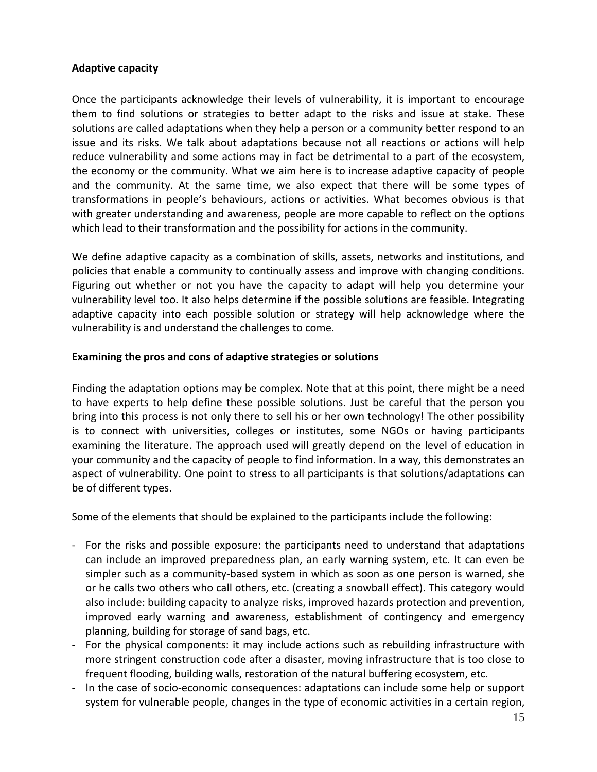#### <span id="page-15-0"></span>**Adaptive capacity**

Once the participants acknowledge their levels of vulnerability, it is important to encourage them to find solutions or strategies to better adapt to the risks and issue at stake. These solutions are called adaptations when they help a person or a community better respond to an issue and its risks. We talk about adaptations because not all reactions or actions will help reduce vulnerability and some actions may in fact be detrimental to a part of the ecosystem, the economy or the community. What we aim here is to increase adaptive capacity of people and the community. At the same time, we also expect that there will be some types of transformations in people's behaviours, actions or activities. What becomes obvious is that with greater understanding and awareness, people are more capable to reflect on the options which lead to their transformation and the possibility for actions in the community.

We define adaptive capacity as a combination of skills, assets, networks and institutions, and policies that enable a community to continually assess and improve with changing conditions. Figuring out whether or not you have the capacity to adapt will help you determine your vulnerability level too. It also helps determine if the possible solutions are feasible. Integrating adaptive capacity into each possible solution or strategy will help acknowledge where the vulnerability is and understand the challenges to come.

#### **Examining the pros and cons of adaptive strategies or solutions**

Finding the adaptation options may be complex. Note that at this point, there might be a need to have experts to help define these possible solutions. Just be careful that the person you bring into this process is not only there to sell his or her own technology! The other possibility is to connect with universities, colleges or institutes, some NGOs or having participants examining the literature. The approach used will greatly depend on the level of education in your community and the capacity of people to find information. In a way, this demonstrates an aspect of vulnerability. One point to stress to all participants is that solutions/adaptations can be of different types.

Some of the elements that should be explained to the participants include the following:

- ‐ For the risks and possible exposure: the participants need to understand that adaptations can include an improved preparedness plan, an early warning system, etc. It can even be simpler such as a community-based system in which as soon as one person is warned, she or he calls two others who call others, etc. (creating a snowball effect). This category would also include: building capacity to analyze risks, improved hazards protection and prevention, improved early warning and awareness, establishment of contingency and emergency planning, building for storage of sand bags, etc.
- For the physical components: it may include actions such as rebuilding infrastructure with more stringent construction code after a disaster, moving infrastructure that is too close to frequent flooding, building walls, restoration of the natural buffering ecosystem, etc.
- In the case of socio-economic consequences: adaptations can include some help or support system for vulnerable people, changes in the type of economic activities in a certain region,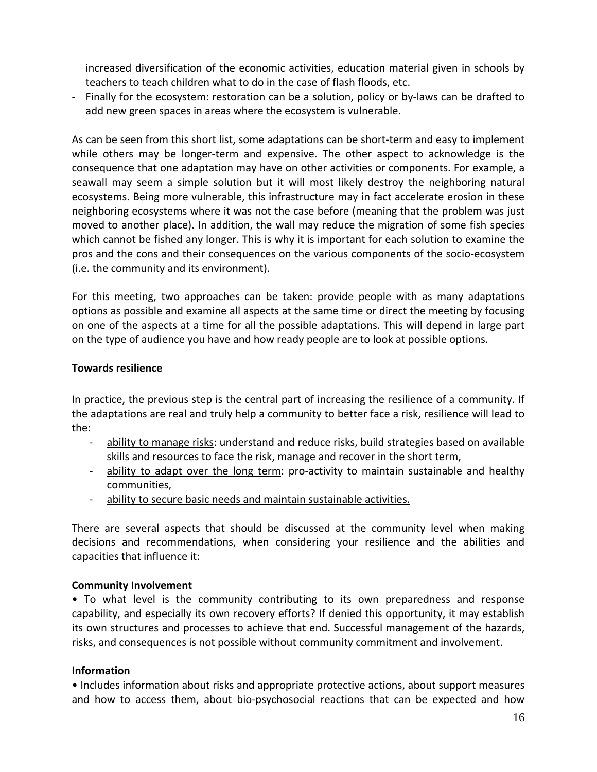<span id="page-16-0"></span>increased diversification of the economic activities, education material given in schools by teachers to teach children what to do in the case of flash floods, etc.

‐ Finally for the ecosystem: restoration can be a solution, policy or by‐laws can be drafted to add new green spaces in areas where the ecosystem is vulnerable.

As can be seen from this short list, some adaptations can be short‐term and easy to implement while others may be longer-term and expensive. The other aspect to acknowledge is the consequence that one adaptation may have on other activities or components. For example, a seawall may seem a simple solution but it will most likely destroy the neighboring natural ecosystems. Being more vulnerable, this infrastructure may in fact accelerate erosion in these neighboring ecosystems where it was not the case before (meaning that the problem was just moved to another place). In addition, the wall may reduce the migration of some fish species which cannot be fished any longer. This is why it is important for each solution to examine the pros and the cons and their consequences on the various components of the socio‐ecosystem (i.e. the community and its environment).

For this meeting, two approaches can be taken: provide people with as many adaptations options as possible and examine all aspects at the same time or direct the meeting by focusing on one of the aspects at a time for all the possible adaptations. This will depend in large part on the type of audience you have and how ready people are to look at possible options.

#### **Towards resilience**

In practice, the previous step is the central part of increasing the resilience of a community. If the adaptations are real and truly help a community to better face a risk, resilience will lead to the:

- ability to manage risks: understand and reduce risks, build strategies based on available skills and resources to face the risk, manage and recover in the short term,
- ‐ ability to adapt over the long term: pro‐activity to maintain sustainable and healthy communities,
- ‐ ability to secure basic needs and maintain sustainable activities.

There are several aspects that should be discussed at the community level when making decisions and recommendations, when considering your resilience and the abilities and capacities that influence it:

#### **Community Involvement**

• To what level is the community contributing to its own preparedness and response capability, and especially its own recovery efforts? If denied this opportunity, it may establish its own structures and processes to achieve that end. Successful management of the hazards, risks, and consequences is not possible without community commitment and involvement.

#### **Information**

• Includes information about risks and appropriate protective actions, about support measures and how to access them, about bio‐psychosocial reactions that can be expected and how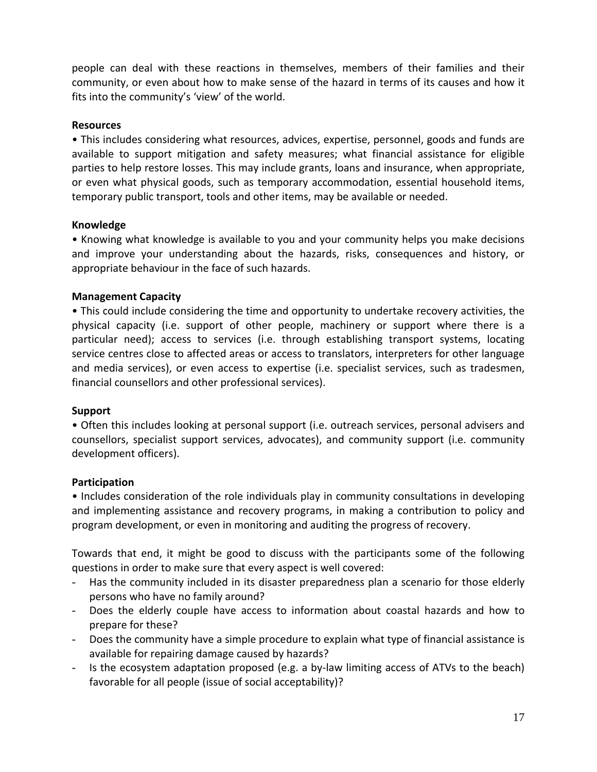people can deal with these reactions in themselves, members of their families and their community, or even about how to make sense of the hazard in terms of its causes and how it fits into the community's 'view' of the world.

#### **Resources**

• This includes considering what resources, advices, expertise, personnel, goods and funds are available to support mitigation and safety measures; what financial assistance for eligible parties to help restore losses. This may include grants, loans and insurance, when appropriate, or even what physical goods, such as temporary accommodation, essential household items, temporary public transport, tools and other items, may be available or needed.

#### **Knowledge**

• Knowing what knowledge is available to you and your community helps you make decisions and improve your understanding about the hazards, risks, consequences and history, or appropriate behaviour in the face of such hazards.

#### **Management Capacity**

• This could include considering the time and opportunity to undertake recovery activities, the physical capacity (i.e. support of other people, machinery or support where there is a particular need); access to services (i.e. through establishing transport systems, locating service centres close to affected areas or access to translators, interpreters for other language and media services), or even access to expertise (i.e. specialist services, such as tradesmen, financial counsellors and other professional services).

#### **Support**

• Often this includes looking at personal support (i.e. outreach services, personal advisers and counsellors, specialist support services, advocates), and community support (i.e. community development officers).

#### **Participation**

• Includes consideration of the role individuals play in community consultations in developing and implementing assistance and recovery programs, in making a contribution to policy and program development, or even in monitoring and auditing the progress of recovery.

Towards that end, it might be good to discuss with the participants some of the following questions in order to make sure that every aspect is well covered:

- Has the community included in its disaster preparedness plan a scenario for those elderly persons who have no family around?
- Does the elderly couple have access to information about coastal hazards and how to prepare for these?
- Does the community have a simple procedure to explain what type of financial assistance is available for repairing damage caused by hazards?
- Is the ecosystem adaptation proposed (e.g. a by-law limiting access of ATVs to the beach) favorable for all people (issue of social acceptability)?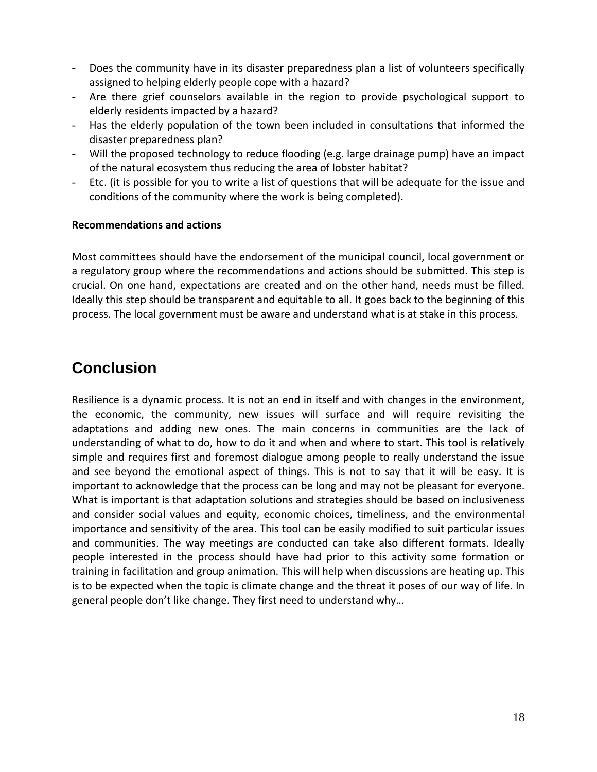- <span id="page-18-0"></span>- Does the community have in its disaster preparedness plan a list of volunteers specifically assigned to helping elderly people cope with a hazard?
- Are there grief counselors available in the region to provide psychological support to elderly residents impacted by a hazard?
- Has the elderly population of the town been included in consultations that informed the disaster preparedness plan?
- Will the proposed technology to reduce flooding (e.g. large drainage pump) have an impact of the natural ecosystem thus reducing the area of lobster habitat?
- Etc. (it is possible for you to write a list of questions that will be adequate for the issue and conditions of the community where the work is being completed).

#### **Recommendations and actions**

Most committees should have the endorsement of the municipal council, local government or a regulatory group where the recommendations and actions should be submitted. This step is crucial. On one hand, expectations are created and on the other hand, needs must be filled. Ideally this step should be transparent and equitable to all. It goes back to the beginning of this process. The local government must be aware and understand what is at stake in this process.

### **Conclusion**

Resilience is a dynamic process. It is not an end in itself and with changes in the environment, the economic, the community, new issues will surface and will require revisiting the adaptations and adding new ones. The main concerns in communities are the lack of understanding of what to do, how to do it and when and where to start. This tool is relatively simple and requires first and foremost dialogue among people to really understand the issue and see beyond the emotional aspect of things. This is not to say that it will be easy. It is important to acknowledge that the process can be long and may not be pleasant for everyone. What is important is that adaptation solutions and strategies should be based on inclusiveness and consider social values and equity, economic choices, timeliness, and the environmental importance and sensitivity of the area. This tool can be easily modified to suit particular issues and communities. The way meetings are conducted can take also different formats. Ideally people interested in the process should have had prior to this activity some formation or training in facilitation and group animation. This will help when discussions are heating up. This is to be expected when the topic is climate change and the threat it poses of our way of life. In general people don't like change. They first need to understand why…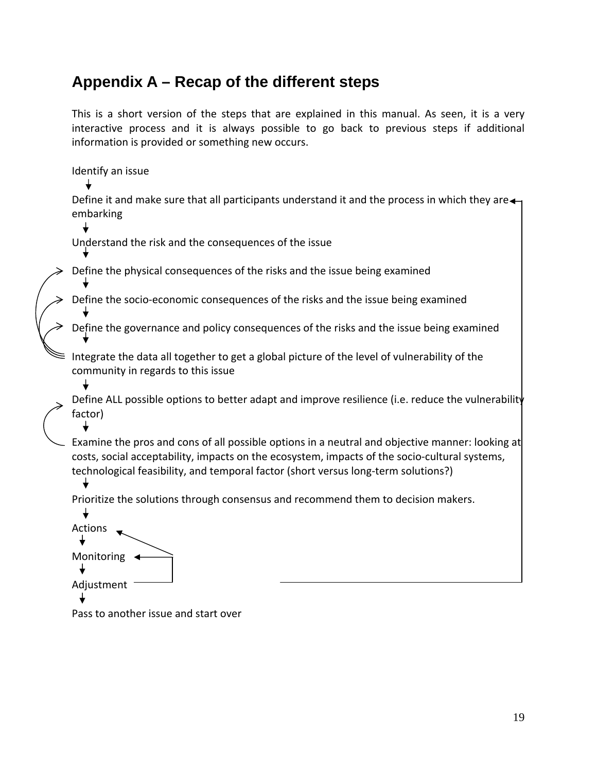### <span id="page-19-0"></span>**Appendix A – Recap of the different steps**

This is a short version of the steps that are explained in this manual. As seen, it is a very interactive process and it is always possible to go back to previous steps if additional information is provided or something new occurs.

Identify an issue

Define it and make sure that all participants understand it and the process in which they are $\leftarrow$ embarking

Understand the risk and the consequences of the issue

Define the physical consequences of the risks and the issue being examined

Define the socio‐economic consequences of the risks and the issue being examined

Define the governance and policy consequences of the risks and the issue being examined

Integrate the data all together to get a global picture of the level of vulnerability of the community in regards to this issue

Define ALL possible options to better adapt and improve resilience (i.e. reduce the vulnerability factor)

Examine the pros and cons of all possible options in a neutral and objective manner: looking at costs, social acceptability, impacts on the ecosystem, impacts of the socio‐cultural systems, technological feasibility, and temporal factor (short versus long‐term solutions?)

Prioritize the solutions through consensus and recommend them to decision makers.

 $\downarrow$ Actions Monitoring < Adjustment

Pass to another issue and start over